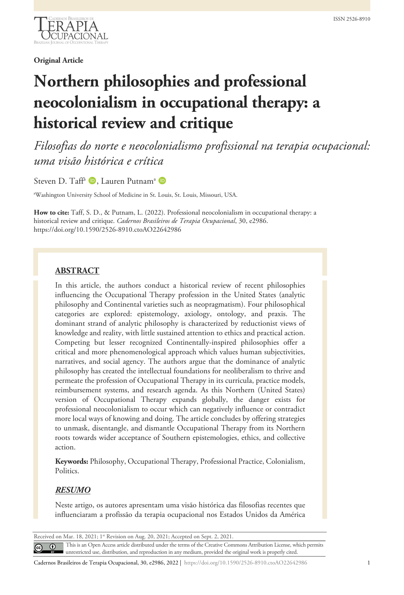

#### **Original Article**

# **Northern philosophies and professional neocolonialism in occupational therapy: a historical review and critique**

*Filosofias do norte e neocolonialismo profissional na terapia ocupacional: uma visão histórica e crítica*

Steven D. Taff<sup>a</sup> D, Lauren Putnam<sup>a</sup> D

a Washington University School of Medicine in St. Louis, St. Louis, Missouri, USA.

**How to cite:** Taff, S. D., & Putnam, L. (2022). Professional neocolonialism in occupational therapy: a historical review and critique. *Cadernos Brasileiros de Terapia Ocupacional*, 30, e2986. https://doi.org/10.1590/2526-8910.ctoAO22642986

## **ABSTRACT**

In this article, the authors conduct a historical review of recent philosophies influencing the Occupational Therapy profession in the United States (analytic philosophy and Continental varieties such as neopragmatism). Four philosophical categories are explored: epistemology, axiology, ontology, and praxis. The dominant strand of analytic philosophy is characterized by reductionist views of knowledge and reality, with little sustained attention to ethics and practical action. Competing but lesser recognized Continentally-inspired philosophies offer a critical and more phenomenological approach which values human subjectivities, narratives, and social agency. The authors argue that the dominance of analytic philosophy has created the intellectual foundations for neoliberalism to thrive and permeate the profession of Occupational Therapy in its curricula, practice models, reimbursement systems, and research agenda. As this Northern (United States) version of Occupational Therapy expands globally, the danger exists for professional neocolonialism to occur which can negatively influence or contradict more local ways of knowing and doing. The article concludes by offering strategies to unmask, disentangle, and dismantle Occupational Therapy from its Northern roots towards wider acceptance of Southern epistemologies, ethics, and collective action.

**Keywords:** Philosophy, Occupational Therapy, Professional Practice, Colonialism, **Politics** 

### *RESUMO*

Neste artigo, os autores apresentam uma visão histórica das filosofias recentes que influenciaram a profissão da terapia ocupacional nos Estados Unidos da América

Received on Mar. 18, 2021; 1st Revision on Aug. 20, 2021; Accepted on Sept. 2, 2021.

This is an Open Access article distributed under the terms of the Creative Commons Attribution License, which permits  $\odot$ unrestricted use, distribution, and reproduction in any medium, provided the original work is properly cited.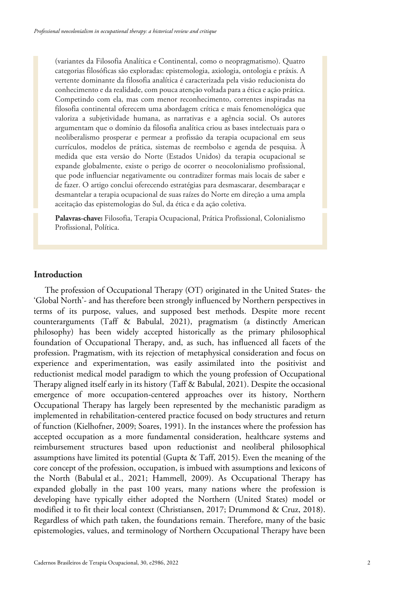(variantes da Filosofia Analítica e Continental, como o neopragmatismo). Quatro categorias filosóficas são exploradas: epistemologia, axiologia, ontologia e práxis. A vertente dominante da filosofia analítica é caracterizada pela visão reducionista do conhecimento e da realidade, com pouca atenção voltada para a ética e ação prática. Competindo com ela, mas com menor reconhecimento, correntes inspiradas na filosofia continental oferecem uma abordagem crítica e mais fenomenológica que valoriza a subjetividade humana, as narrativas e a agência social. Os autores argumentam que o domínio da filosofia analítica criou as bases intelectuais para o neoliberalismo prosperar e permear a profissão da terapia ocupacional em seus currículos, modelos de prática, sistemas de reembolso e agenda de pesquisa. À medida que esta versão do Norte (Estados Unidos) da terapia ocupacional se expande globalmente, existe o perigo de ocorrer o neocolonialismo profissional, que pode influenciar negativamente ou contradizer formas mais locais de saber e de fazer. O artigo conclui oferecendo estratégias para desmascarar, desembaraçar e desmantelar a terapia ocupacional de suas raízes do Norte em direção a uma ampla aceitação das epistemologias do Sul, da ética e da ação coletiva.

**Palavras-chave:** Filosofia, Terapia Ocupacional, Prática Profissional, Colonialismo Profissional, Política.

## **Introduction**

The profession of Occupational Therapy (OT) originated in the United States- the 'Global North'- and has therefore been strongly influenced by Northern perspectives in terms of its purpose, values, and supposed best methods. Despite more recent counterarguments (Taff & Babulal, 2021), pragmatism (a distinctly American philosophy) has been widely accepted historically as the primary philosophical foundation of Occupational Therapy, and, as such, has influenced all facets of the profession. Pragmatism, with its rejection of metaphysical consideration and focus on experience and experimentation, was easily assimilated into the positivist and reductionist medical model paradigm to which the young profession of Occupational Therapy aligned itself early in its history (Taff & Babulal, 2021). Despite the occasional emergence of more occupation-centered approaches over its history, Northern Occupational Therapy has largely been represented by the mechanistic paradigm as implemented in rehabilitation-centered practice focused on body structures and return of function (Kielhofner, 2009; Soares, 1991). In the instances where the profession has accepted occupation as a more fundamental consideration, healthcare systems and reimbursement structures based upon reductionist and neoliberal philosophical assumptions have limited its potential (Gupta & Taff, 2015). Even the meaning of the core concept of the profession, occupation, is imbued with assumptions and lexicons of the North (Babulal et al., 2021; Hammell, 2009). As Occupational Therapy has expanded globally in the past 100 years, many nations where the profession is developing have typically either adopted the Northern (United States) model or modified it to fit their local context (Christiansen, 2017; Drummond & Cruz, 2018). Regardless of which path taken, the foundations remain. Therefore, many of the basic epistemologies, values, and terminology of Northern Occupational Therapy have been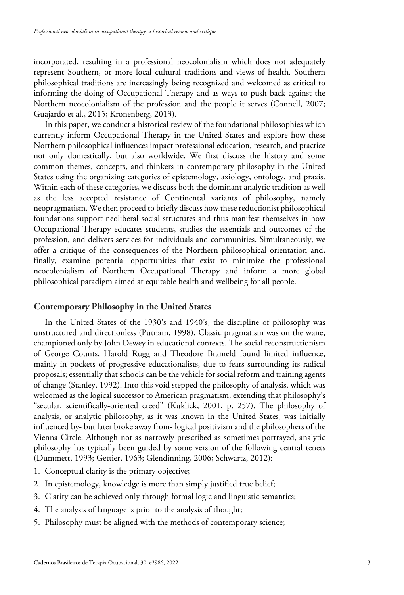incorporated, resulting in a professional neocolonialism which does not adequately represent Southern, or more local cultural traditions and views of health. Southern philosophical traditions are increasingly being recognized and welcomed as critical to informing the doing of Occupational Therapy and as ways to push back against the Northern neocolonialism of the profession and the people it serves (Connell, 2007; Guajardo et al., 2015; Kronenberg, 2013).

In this paper, we conduct a historical review of the foundational philosophies which currently inform Occupational Therapy in the United States and explore how these Northern philosophical influences impact professional education, research, and practice not only domestically, but also worldwide. We first discuss the history and some common themes, concepts, and thinkers in contemporary philosophy in the United States using the organizing categories of epistemology, axiology, ontology, and praxis. Within each of these categories, we discuss both the dominant analytic tradition as well as the less accepted resistance of Continental variants of philosophy, namely neopragmatism. We then proceed to briefly discuss how these reductionist philosophical foundations support neoliberal social structures and thus manifest themselves in how Occupational Therapy educates students, studies the essentials and outcomes of the profession, and delivers services for individuals and communities. Simultaneously, we offer a critique of the consequences of the Northern philosophical orientation and, finally, examine potential opportunities that exist to minimize the professional neocolonialism of Northern Occupational Therapy and inform a more global philosophical paradigm aimed at equitable health and wellbeing for all people.

#### **Contemporary Philosophy in the United States**

In the United States of the 1930's and 1940's, the discipline of philosophy was unstructured and directionless (Putnam, 1998). Classic pragmatism was on the wane, championed only by John Dewey in educational contexts. The social reconstructionism of George Counts, Harold Rugg and Theodore Brameld found limited influence, mainly in pockets of progressive educationalists, due to fears surrounding its radical proposals; essentially that schools can be the vehicle for social reform and training agents of change (Stanley, 1992). Into this void stepped the philosophy of analysis, which was welcomed as the logical successor to American pragmatism, extending that philosophy's "secular, scientifically-oriented creed" (Kuklick, 2001, p. 257). The philosophy of analysis, or analytic philosophy, as it was known in the United States, was initially influenced by- but later broke away from- logical positivism and the philosophers of the Vienna Circle. Although not as narrowly prescribed as sometimes portrayed, analytic philosophy has typically been guided by some version of the following central tenets (Dummett, 1993; Gettier, 1963; Glendinning, 2006; Schwartz, 2012):

- 1. Conceptual clarity is the primary objective;
- 2. In epistemology, knowledge is more than simply justified true belief;
- 3. Clarity can be achieved only through formal logic and linguistic semantics;
- 4. The analysis of language is prior to the analysis of thought;
- 5. Philosophy must be aligned with the methods of contemporary science;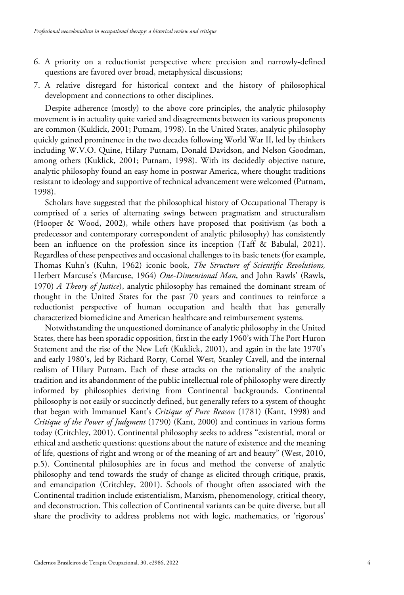- 6. A priority on a reductionist perspective where precision and narrowly-defined questions are favored over broad, metaphysical discussions;
- 7. A relative disregard for historical context and the history of philosophical development and connections to other disciplines.

Despite adherence (mostly) to the above core principles, the analytic philosophy movement is in actuality quite varied and disagreements between its various proponents are common (Kuklick, 2001; Putnam, 1998). In the United States, analytic philosophy quickly gained prominence in the two decades following World War II, led by thinkers including W.V.O. Quine, Hilary Putnam, Donald Davidson, and Nelson Goodman, among others (Kuklick, 2001; Putnam, 1998). With its decidedly objective nature, analytic philosophy found an easy home in postwar America, where thought traditions resistant to ideology and supportive of technical advancement were welcomed (Putnam, 1998).

Scholars have suggested that the philosophical history of Occupational Therapy is comprised of a series of alternating swings between pragmatism and structuralism (Hooper & Wood, 2002), while others have proposed that positivism (as both a predecessor and contemporary correspondent of analytic philosophy) has consistently been an influence on the profession since its inception (Taff & Babulal, 2021). Regardless of these perspectives and occasional challenges to its basic tenets (for example, Thomas Kuhn's (Kuhn, 1962) iconic book, *The Structure of Scientific Revolutions,* Herbert Marcuse's (Marcuse, 1964) *One-Dimensional Man*, and John Rawls' (Rawls, 1970) *A Theory of Justice*), analytic philosophy has remained the dominant stream of thought in the United States for the past 70 years and continues to reinforce a reductionist perspective of human occupation and health that has generally characterized biomedicine and American healthcare and reimbursement systems.

Notwithstanding the unquestioned dominance of analytic philosophy in the United States, there has been sporadic opposition, first in the early 1960's with The Port Huron Statement and the rise of the New Left (Kuklick, 2001), and again in the late 1970's and early 1980's, led by Richard Rorty, Cornel West, Stanley Cavell, and the internal realism of Hilary Putnam. Each of these attacks on the rationality of the analytic tradition and its abandonment of the public intellectual role of philosophy were directly informed by philosophies deriving from Continental backgrounds. Continental philosophy is not easily or succinctly defined, but generally refers to a system of thought that began with Immanuel Kant's *Critique of Pure Reason* (1781) (Kant, 1998) and *Critique of the Power of Judgment* (1790) (Kant, 2000) and continues in various forms today (Critchley, 2001). Continental philosophy seeks to address "existential, moral or ethical and aesthetic questions: questions about the nature of existence and the meaning of life, questions of right and wrong or of the meaning of art and beauty" (West, 2010, p.5). Continental philosophies are in focus and method the converse of analytic philosophy and tend towards the study of change as elicited through critique, praxis, and emancipation (Critchley, 2001). Schools of thought often associated with the Continental tradition include existentialism, Marxism, phenomenology, critical theory, and deconstruction. This collection of Continental variants can be quite diverse, but all share the proclivity to address problems not with logic, mathematics, or 'rigorous'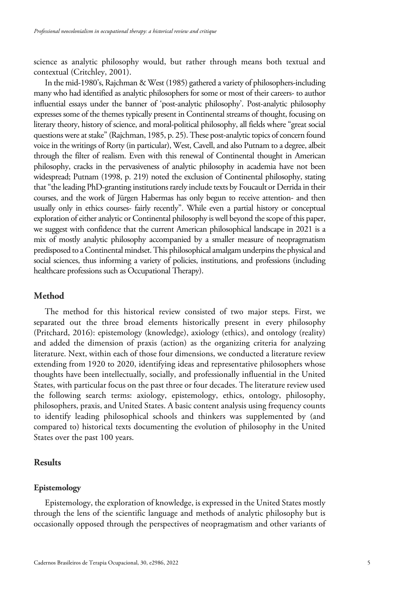science as analytic philosophy would, but rather through means both textual and contextual (Critchley, 2001).

In the mid-1980's, Rajchman & West (1985) gathered a variety of philosophers-including many who had identified as analytic philosophers for some or most of their careers- to author influential essays under the banner of 'post-analytic philosophy'. Post-analytic philosophy expresses some of the themes typically present in Continental streams of thought, focusing on literary theory, history of science, and moral-political philosophy, all fields where "great social questions were at stake" (Rajchman, 1985, p. 25). These post-analytic topics of concern found voice in the writings of Rorty (in particular), West, Cavell, and also Putnam to a degree, albeit through the filter of realism. Even with this renewal of Continental thought in American philosophy, cracks in the pervasiveness of analytic philosophy in academia have not been widespread; Putnam (1998, p. 219) noted the exclusion of Continental philosophy, stating that "the leading PhD-granting institutions rarely include texts by Foucault or Derrida in their courses, and the work of Jürgen Habermas has only begun to receive attention- and then usually only in ethics courses- fairly recently". While even a partial history or conceptual exploration of either analytic or Continental philosophy is well beyond the scope of this paper, we suggest with confidence that the current American philosophical landscape in 2021 is a mix of mostly analytic philosophy accompanied by a smaller measure of neopragmatism predisposed to a Continental mindset. This philosophical amalgam underpins the physical and social sciences, thus informing a variety of policies, institutions, and professions (including healthcare professions such as Occupational Therapy).

## **Method**

The method for this historical review consisted of two major steps. First, we separated out the three broad elements historically present in every philosophy (Pritchard, 2016): epistemology (knowledge), axiology (ethics), and ontology (reality) and added the dimension of praxis (action) as the organizing criteria for analyzing literature. Next, within each of those four dimensions, we conducted a literature review extending from 1920 to 2020, identifying ideas and representative philosophers whose thoughts have been intellectually, socially, and professionally influential in the United States, with particular focus on the past three or four decades. The literature review used the following search terms: axiology, epistemology, ethics, ontology, philosophy, philosophers, praxis, and United States. A basic content analysis using frequency counts to identify leading philosophical schools and thinkers was supplemented by (and compared to) historical texts documenting the evolution of philosophy in the United States over the past 100 years.

#### **Results**

#### **Epistemology**

Epistemology, the exploration of knowledge, is expressed in the United States mostly through the lens of the scientific language and methods of analytic philosophy but is occasionally opposed through the perspectives of neopragmatism and other variants of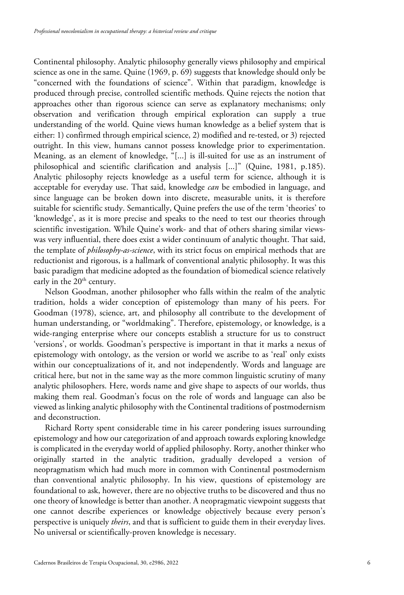Continental philosophy. Analytic philosophy generally views philosophy and empirical science as one in the same. Quine (1969, p. 69) suggests that knowledge should only be "concerned with the foundations of science". Within that paradigm, knowledge is produced through precise, controlled scientific methods. Quine rejects the notion that approaches other than rigorous science can serve as explanatory mechanisms; only observation and verification through empirical exploration can supply a true understanding of the world. Quine views human knowledge as a belief system that is either: 1) confirmed through empirical science, 2) modified and re-tested, or 3) rejected outright. In this view, humans cannot possess knowledge prior to experimentation. Meaning, as an element of knowledge, "[...] is ill-suited for use as an instrument of philosophical and scientific clarification and analysis [...]" (Quine, 1981, p.185). Analytic philosophy rejects knowledge as a useful term for science, although it is acceptable for everyday use. That said, knowledge *can* be embodied in language, and since language can be broken down into discrete, measurable units, it is therefore suitable for scientific study. Semantically, Quine prefers the use of the term 'theories' to 'knowledge', as it is more precise and speaks to the need to test our theories through scientific investigation. While Quine's work- and that of others sharing similar viewswas very influential, there does exist a wider continuum of analytic thought. That said, the template of *philosophy-as-science*, with its strict focus on empirical methods that are reductionist and rigorous, is a hallmark of conventional analytic philosophy. It was this basic paradigm that medicine adopted as the foundation of biomedical science relatively early in the  $20<sup>th</sup>$  century.

Nelson Goodman, another philosopher who falls within the realm of the analytic tradition, holds a wider conception of epistemology than many of his peers. For Goodman (1978), science, art, and philosophy all contribute to the development of human understanding, or "worldmaking". Therefore, epistemology, or knowledge, is a wide-ranging enterprise where our concepts establish a structure for us to construct 'versions', or worlds. Goodman's perspective is important in that it marks a nexus of epistemology with ontology, as the version or world we ascribe to as 'real' only exists within our conceptualizations of it, and not independently. Words and language are critical here, but not in the same way as the more common linguistic scrutiny of many analytic philosophers. Here, words name and give shape to aspects of our worlds, thus making them real. Goodman's focus on the role of words and language can also be viewed as linking analytic philosophy with the Continental traditions of postmodernism and deconstruction.

Richard Rorty spent considerable time in his career pondering issues surrounding epistemology and how our categorization of and approach towards exploring knowledge is complicated in the everyday world of applied philosophy. Rorty, another thinker who originally started in the analytic tradition, gradually developed a version of neopragmatism which had much more in common with Continental postmodernism than conventional analytic philosophy. In his view, questions of epistemology are foundational to ask, however, there are no objective truths to be discovered and thus no one theory of knowledge is better than another. A neopragmatic viewpoint suggests that one cannot describe experiences or knowledge objectively because every person's perspective is uniquely *theirs*, and that is sufficient to guide them in their everyday lives. No universal or scientifically-proven knowledge is necessary.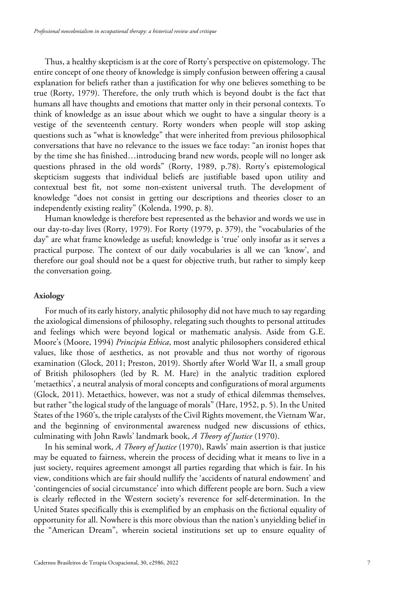Thus, a healthy skepticism is at the core of Rorty's perspective on epistemology. The entire concept of one theory of knowledge is simply confusion between offering a causal explanation for beliefs rather than a justification for why one believes something to be true (Rorty, 1979). Therefore, the only truth which is beyond doubt is the fact that humans all have thoughts and emotions that matter only in their personal contexts. To think of knowledge as an issue about which we ought to have a singular theory is a vestige of the seventeenth century. Rorty wonders when people will stop asking questions such as "what is knowledge" that were inherited from previous philosophical conversations that have no relevance to the issues we face today: "an ironist hopes that by the time she has finished…introducing brand new words, people will no longer ask questions phrased in the old words" (Rorty, 1989, p.78). Rorty's epistemological skepticism suggests that individual beliefs are justifiable based upon utility and contextual best fit, not some non-existent universal truth. The development of knowledge "does not consist in getting our descriptions and theories closer to an independently existing reality" (Kolenda, 1990, p. 8).

Human knowledge is therefore best represented as the behavior and words we use in our day-to-day lives (Rorty, 1979). For Rorty (1979, p. 379), the "vocabularies of the day" are what frame knowledge as useful; knowledge is 'true' only insofar as it serves a practical purpose. The context of our daily vocabularies is all we can 'know', and therefore our goal should not be a quest for objective truth, but rather to simply keep the conversation going.

#### **Axiology**

For much of its early history, analytic philosophy did not have much to say regarding the axiological dimensions of philosophy, relegating such thoughts to personal attitudes and feelings which were beyond logical or mathematic analysis. Aside from G.E. Moore's (Moore, 1994) *Principia Ethica*, most analytic philosophers considered ethical values, like those of aesthetics, as not provable and thus not worthy of rigorous examination (Glock, 2011; Preston, 2019). Shortly after World War II, a small group of British philosophers (led by R. M. Hare) in the analytic tradition explored 'metaethics', a neutral analysis of moral concepts and configurations of moral arguments (Glock, 2011). Metaethics, however, was not a study of ethical dilemmas themselves, but rather "the logical study of the language of morals" (Hare, 1952, p. 5). In the United States of the 1960's, the triple catalysts of the Civil Rights movement, the Vietnam War, and the beginning of environmental awareness nudged new discussions of ethics, culminating with John Rawls' landmark book, *A Theory of Justice* (1970).

In his seminal work, *A Theory of Justice* (1970), Rawls' main assertion is that justice may be equated to fairness, wherein the process of deciding what it means to live in a just society, requires agreement amongst all parties regarding that which is fair. In his view, conditions which are fair should nullify the 'accidents of natural endowment' and 'contingencies of social circumstance' into which different people are born. Such a view is clearly reflected in the Western society's reverence for self-determination. In the United States specifically this is exemplified by an emphasis on the fictional equality of opportunity for all. Nowhere is this more obvious than the nation's unyielding belief in the "American Dream", wherein societal institutions set up to ensure equality of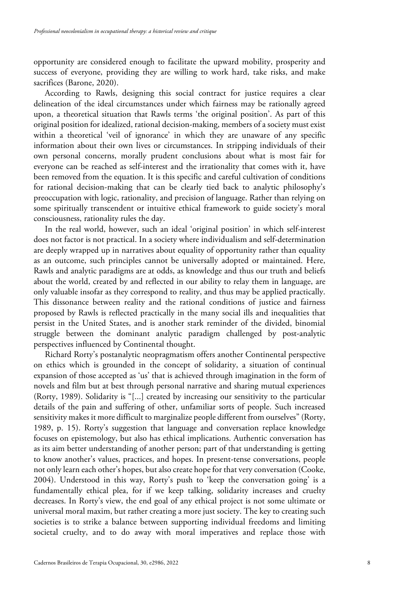opportunity are considered enough to facilitate the upward mobility, prosperity and success of everyone, providing they are willing to work hard, take risks, and make sacrifices (Barone, 2020).

According to Rawls, designing this social contract for justice requires a clear delineation of the ideal circumstances under which fairness may be rationally agreed upon, a theoretical situation that Rawls terms 'the original position'. As part of this original position for idealized, rational decision-making, members of a society must exist within a theoretical 'veil of ignorance' in which they are unaware of any specific information about their own lives or circumstances. In stripping individuals of their own personal concerns, morally prudent conclusions about what is most fair for everyone can be reached as self-interest and the irrationality that comes with it, have been removed from the equation. It is this specific and careful cultivation of conditions for rational decision-making that can be clearly tied back to analytic philosophy's preoccupation with logic, rationality, and precision of language. Rather than relying on some spiritually transcendent or intuitive ethical framework to guide society's moral consciousness, rationality rules the day.

In the real world, however, such an ideal 'original position' in which self-interest does not factor is not practical. In a society where individualism and self-determination are deeply wrapped up in narratives about equality of opportunity rather than equality as an outcome, such principles cannot be universally adopted or maintained. Here, Rawls and analytic paradigms are at odds, as knowledge and thus our truth and beliefs about the world, created by and reflected in our ability to relay them in language, are only valuable insofar as they correspond to reality, and thus may be applied practically. This dissonance between reality and the rational conditions of justice and fairness proposed by Rawls is reflected practically in the many social ills and inequalities that persist in the United States, and is another stark reminder of the divided, binomial struggle between the dominant analytic paradigm challenged by post-analytic perspectives influenced by Continental thought.

Richard Rorty's postanalytic neopragmatism offers another Continental perspective on ethics which is grounded in the concept of solidarity, a situation of continual expansion of those accepted as 'us' that is achieved through imagination in the form of novels and film but at best through personal narrative and sharing mutual experiences (Rorty, 1989). Solidarity is "[...] created by increasing our sensitivity to the particular details of the pain and suffering of other, unfamiliar sorts of people. Such increased sensitivity makes it more difficult to marginalize people different from ourselves" (Rorty, 1989, p. 15). Rorty's suggestion that language and conversation replace knowledge focuses on epistemology, but also has ethical implications. Authentic conversation has as its aim better understanding of another person; part of that understanding is getting to know another's values, practices, and hopes. In present-tense conversations, people not only learn each other's hopes, but also create hope for that very conversation (Cooke, 2004). Understood in this way, Rorty's push to 'keep the conversation going' is a fundamentally ethical plea, for if we keep talking, solidarity increases and cruelty decreases. In Rorty's view, the end goal of any ethical project is not some ultimate or universal moral maxim, but rather creating a more just society. The key to creating such societies is to strike a balance between supporting individual freedoms and limiting societal cruelty, and to do away with moral imperatives and replace those with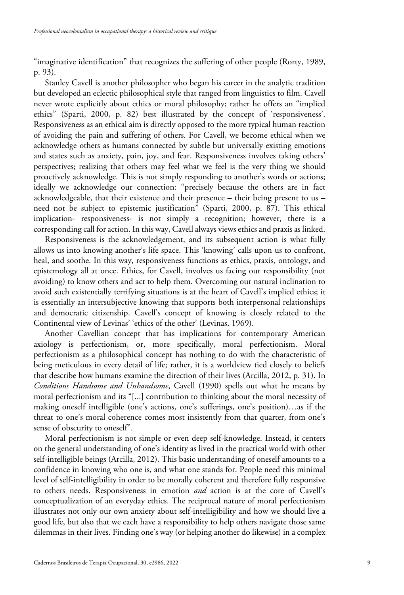"imaginative identification" that recognizes the suffering of other people (Rorty, 1989, p. 93).

Stanley Cavell is another philosopher who began his career in the analytic tradition but developed an eclectic philosophical style that ranged from linguistics to film. Cavell never wrote explicitly about ethics or moral philosophy; rather he offers an "implied ethics" (Sparti, 2000, p. 82) best illustrated by the concept of 'responsiveness'. Responsiveness as an ethical aim is directly opposed to the more typical human reaction of avoiding the pain and suffering of others. For Cavell, we become ethical when we acknowledge others as humans connected by subtle but universally existing emotions and states such as anxiety, pain, joy, and fear. Responsiveness involves taking others' perspectives; realizing that others may feel what we feel is the very thing we should proactively acknowledge. This is not simply responding to another's words or actions; ideally we acknowledge our connection: "precisely because the others are in fact acknowledgeable, that their existence and their presence – their being present to us – need not be subject to epistemic justification" (Sparti, 2000, p. 87). This ethical implication- responsiveness- is not simply a recognition; however, there is a corresponding call for action. In this way, Cavell always views ethics and praxis as linked.

Responsiveness is the acknowledgement, and its subsequent action is what fully allows us into knowing another's life space. This 'knowing' calls upon us to confront, heal, and soothe. In this way, responsiveness functions as ethics, praxis, ontology, and epistemology all at once. Ethics, for Cavell, involves us facing our responsibility (not avoiding) to know others and act to help them. Overcoming our natural inclination to avoid such existentially terrifying situations is at the heart of Cavell's implied ethics; it is essentially an intersubjective knowing that supports both interpersonal relationships and democratic citizenship. Cavell's concept of knowing is closely related to the Continental view of Levinas' 'ethics of the other' (Levinas, 1969).

Another Cavellian concept that has implications for contemporary American axiology is perfectionism, or, more specifically, moral perfectionism. Moral perfectionism as a philosophical concept has nothing to do with the characteristic of being meticulous in every detail of life; rather, it is a worldview tied closely to beliefs that describe how humans examine the direction of their lives (Arcilla, 2012, p. 31). In *Conditions Handsome and Unhandsome*, Cavell (1990) spells out what he means by moral perfectionism and its "[...] contribution to thinking about the moral necessity of making oneself intelligible (one's actions, one's sufferings, one's position)…as if the threat to one's moral coherence comes most insistently from that quarter, from one's sense of obscurity to oneself".

Moral perfectionism is not simple or even deep self-knowledge. Instead, it centers on the general understanding of one's identity as lived in the practical world with other self-intelligible beings (Arcilla, 2012). This basic understanding of oneself amounts to a confidence in knowing who one is, and what one stands for. People need this minimal level of self-intelligibility in order to be morally coherent and therefore fully responsive to others needs. Responsiveness in emotion *and* action is at the core of Cavell's conceptualization of an everyday ethics. The reciprocal nature of moral perfectionism illustrates not only our own anxiety about self-intelligibility and how we should live a good life, but also that we each have a responsibility to help others navigate those same dilemmas in their lives. Finding one's way (or helping another do likewise) in a complex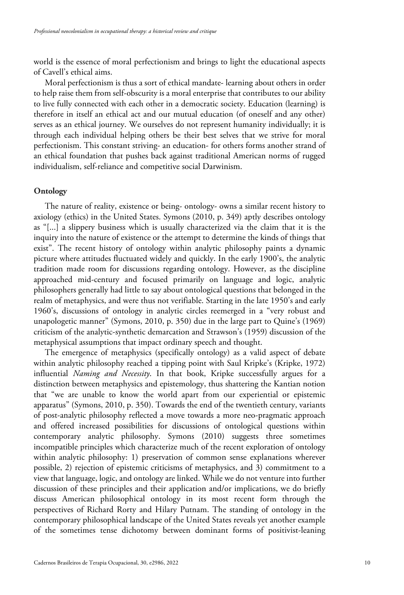world is the essence of moral perfectionism and brings to light the educational aspects of Cavell's ethical aims.

Moral perfectionism is thus a sort of ethical mandate- learning about others in order to help raise them from self-obscurity is a moral enterprise that contributes to our ability to live fully connected with each other in a democratic society. Education (learning) is therefore in itself an ethical act and our mutual education (of oneself and any other) serves as an ethical journey. We ourselves do not represent humanity individually; it is through each individual helping others be their best selves that we strive for moral perfectionism. This constant striving- an education- for others forms another strand of an ethical foundation that pushes back against traditional American norms of rugged individualism, self-reliance and competitive social Darwinism.

#### **Ontology**

The nature of reality, existence or being- ontology- owns a similar recent history to axiology (ethics) in the United States. Symons (2010, p. 349) aptly describes ontology as "[...] a slippery business which is usually characterized via the claim that it is the inquiry into the nature of existence or the attempt to determine the kinds of things that exist". The recent history of ontology within analytic philosophy paints a dynamic picture where attitudes fluctuated widely and quickly. In the early 1900's, the analytic tradition made room for discussions regarding ontology. However, as the discipline approached mid-century and focused primarily on language and logic, analytic philosophers generally had little to say about ontological questions that belonged in the realm of metaphysics, and were thus not verifiable. Starting in the late 1950's and early 1960's, discussions of ontology in analytic circles reemerged in a "very robust and unapologetic manner" (Symons, 2010, p. 350) due in the large part to Quine's (1969) criticism of the analytic-synthetic demarcation and Strawson's (1959) discussion of the metaphysical assumptions that impact ordinary speech and thought.

The emergence of metaphysics (specifically ontology) as a valid aspect of debate within analytic philosophy reached a tipping point with Saul Kripke's (Kripke, 1972) influential *Naming and Necessity*. In that book, Kripke successfully argues for a distinction between metaphysics and epistemology, thus shattering the Kantian notion that "we are unable to know the world apart from our experiential or epistemic apparatus" (Symons, 2010, p. 350). Towards the end of the twentieth century, variants of post-analytic philosophy reflected a move towards a more neo-pragmatic approach and offered increased possibilities for discussions of ontological questions within contemporary analytic philosophy. Symons (2010) suggests three sometimes incompatible principles which characterize much of the recent exploration of ontology within analytic philosophy: 1) preservation of common sense explanations wherever possible, 2) rejection of epistemic criticisms of metaphysics, and 3) commitment to a view that language, logic, and ontology are linked. While we do not venture into further discussion of these principles and their application and/or implications, we do briefly discuss American philosophical ontology in its most recent form through the perspectives of Richard Rorty and Hilary Putnam. The standing of ontology in the contemporary philosophical landscape of the United States reveals yet another example of the sometimes tense dichotomy between dominant forms of positivist-leaning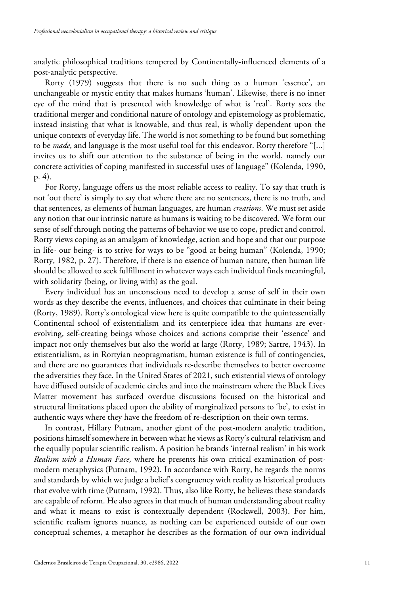analytic philosophical traditions tempered by Continentally-influenced elements of a post-analytic perspective.

Rorty (1979) suggests that there is no such thing as a human 'essence', an unchangeable or mystic entity that makes humans 'human'. Likewise, there is no inner eye of the mind that is presented with knowledge of what is 'real'. Rorty sees the traditional merger and conditional nature of ontology and epistemology as problematic, instead insisting that what is knowable, and thus real, is wholly dependent upon the unique contexts of everyday life. The world is not something to be found but something to be *made*, and language is the most useful tool for this endeavor. Rorty therefore "[...] invites us to shift our attention to the substance of being in the world, namely our concrete activities of coping manifested in successful uses of language" (Kolenda, 1990, p. 4).

For Rorty, language offers us the most reliable access to reality. To say that truth is not 'out there' is simply to say that where there are no sentences, there is no truth, and that sentences, as elements of human languages, are human *creations*. We must set aside any notion that our intrinsic nature as humans is waiting to be discovered. We form our sense of self through noting the patterns of behavior we use to cope, predict and control. Rorty views coping as an amalgam of knowledge, action and hope and that our purpose in life- our being- is to strive for ways to be "good at being human" (Kolenda, 1990; Rorty, 1982, p. 27). Therefore, if there is no essence of human nature, then human life should be allowed to seek fulfillment in whatever ways each individual finds meaningful, with solidarity (being, or living with) as the goal.

Every individual has an unconscious need to develop a sense of self in their own words as they describe the events, influences, and choices that culminate in their being (Rorty, 1989). Rorty's ontological view here is quite compatible to the quintessentially Continental school of existentialism and its centerpiece idea that humans are everevolving, self-creating beings whose choices and actions comprise their 'essence' and impact not only themselves but also the world at large (Rorty, 1989; Sartre, 1943). In existentialism, as in Rortyian neopragmatism, human existence is full of contingencies, and there are no guarantees that individuals re-describe themselves to better overcome the adversities they face. In the United States of 2021, such existential views of ontology have diffused outside of academic circles and into the mainstream where the Black Lives Matter movement has surfaced overdue discussions focused on the historical and structural limitations placed upon the ability of marginalized persons to 'be', to exist in authentic ways where they have the freedom of re-description on their own terms.

In contrast, Hillary Putnam, another giant of the post-modern analytic tradition, positions himself somewhere in between what he views as Rorty's cultural relativism and the equally popular scientific realism. A position he brands 'internal realism' in his work *Realism with a Human Face,* where he presents his own critical examination of postmodern metaphysics (Putnam, 1992). In accordance with Rorty, he regards the norms and standards by which we judge a belief's congruency with reality as historical products that evolve with time (Putnam, 1992). Thus, also like Rorty, he believes these standards are capable of reform. He also agrees in that much of human understanding about reality and what it means to exist is contextually dependent (Rockwell, 2003). For him, scientific realism ignores nuance, as nothing can be experienced outside of our own conceptual schemes, a metaphor he describes as the formation of our own individual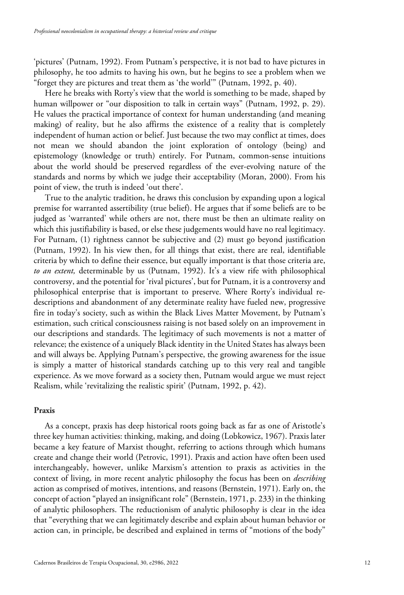'pictures' (Putnam, 1992). From Putnam's perspective, it is not bad to have pictures in philosophy, he too admits to having his own, but he begins to see a problem when we "forget they are pictures and treat them as 'the world'" (Putnam, 1992, p. 40).

Here he breaks with Rorty's view that the world is something to be made, shaped by human willpower or "our disposition to talk in certain ways" (Putnam, 1992, p. 29). He values the practical importance of context for human understanding (and meaning making) of reality, but he also affirms the existence of a reality that is completely independent of human action or belief. Just because the two may conflict at times, does not mean we should abandon the joint exploration of ontology (being) and epistemology (knowledge or truth) entirely. For Putnam, common-sense intuitions about the world should be preserved regardless of the ever-evolving nature of the standards and norms by which we judge their acceptability (Moran, 2000). From his point of view, the truth is indeed 'out there'.

True to the analytic tradition, he draws this conclusion by expanding upon a logical premise for warranted assertibility (true belief). He argues that if some beliefs are to be judged as 'warranted' while others are not, there must be then an ultimate reality on which this justifiability is based, or else these judgements would have no real legitimacy. For Putnam, (1) rightness cannot be subjective and (2) must go beyond justification (Putnam, 1992). In his view then, for all things that exist, there are real, identifiable criteria by which to define their essence, but equally important is that those criteria are, *to an extent,* determinable by us (Putnam, 1992). It's a view rife with philosophical controversy, and the potential for 'rival pictures', but for Putnam, it is a controversy and philosophical enterprise that is important to preserve. Where Rorty's individual redescriptions and abandonment of any determinate reality have fueled new, progressive fire in today's society, such as within the Black Lives Matter Movement, by Putnam's estimation, such critical consciousness raising is not based solely on an improvement in our descriptions and standards. The legitimacy of such movements is not a matter of relevance; the existence of a uniquely Black identity in the United States has always been and will always be. Applying Putnam's perspective, the growing awareness for the issue is simply a matter of historical standards catching up to this very real and tangible experience. As we move forward as a society then, Putnam would argue we must reject Realism, while 'revitalizing the realistic spirit' (Putnam, 1992, p. 42).

#### **Praxis**

As a concept, praxis has deep historical roots going back as far as one of Aristotle's three key human activities: thinking, making, and doing (Lobkowicz, 1967). Praxis later became a key feature of Marxist thought, referring to actions through which humans create and change their world (Petrovic, 1991). Praxis and action have often been used interchangeably, however, unlike Marxism's attention to praxis as activities in the context of living, in more recent analytic philosophy the focus has been on *describing* action as comprised of motives, intentions, and reasons (Bernstein, 1971). Early on, the concept of action "played an insignificant role" (Bernstein, 1971, p. 233) in the thinking of analytic philosophers. The reductionism of analytic philosophy is clear in the idea that "everything that we can legitimately describe and explain about human behavior or action can, in principle, be described and explained in terms of "motions of the body"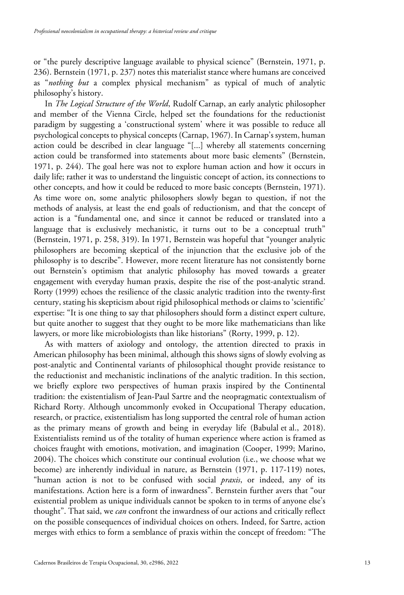or "the purely descriptive language available to physical science" (Bernstein, 1971, p. 236). Bernstein (1971, p. 237) notes this materialist stance where humans are conceived as "*nothing but* a complex physical mechanism" as typical of much of analytic philosophy's history.

In *The Logical Structure of the World*, Rudolf Carnap, an early analytic philosopher and member of the Vienna Circle, helped set the foundations for the reductionist paradigm by suggesting a 'constructional system' where it was possible to reduce all psychological concepts to physical concepts (Carnap, 1967). In Carnap's system, human action could be described in clear language "[...] whereby all statements concerning action could be transformed into statements about more basic elements" (Bernstein, 1971, p. 244). The goal here was not to explore human action and how it occurs in daily life; rather it was to understand the linguistic concept of action, its connections to other concepts, and how it could be reduced to more basic concepts (Bernstein, 1971). As time wore on, some analytic philosophers slowly began to question, if not the methods of analysis, at least the end goals of reductionism, and that the concept of action is a "fundamental one, and since it cannot be reduced or translated into a language that is exclusively mechanistic, it turns out to be a conceptual truth" (Bernstein, 1971, p. 258, 319). In 1971, Bernstein was hopeful that "younger analytic philosophers are becoming skeptical of the injunction that the exclusive job of the philosophy is to describe". However, more recent literature has not consistently borne out Bernstein's optimism that analytic philosophy has moved towards a greater engagement with everyday human praxis, despite the rise of the post-analytic strand. Rorty (1999) echoes the resilience of the classic analytic tradition into the twenty-first century, stating his skepticism about rigid philosophical methods or claims to 'scientific' expertise: "It is one thing to say that philosophers should form a distinct expert culture, but quite another to suggest that they ought to be more like mathematicians than like lawyers, or more like microbiologists than like historians" (Rorty, 1999, p. 12).

As with matters of axiology and ontology, the attention directed to praxis in American philosophy has been minimal, although this shows signs of slowly evolving as post-analytic and Continental variants of philosophical thought provide resistance to the reductionist and mechanistic inclinations of the analytic tradition. In this section, we briefly explore two perspectives of human praxis inspired by the Continental tradition: the existentialism of Jean-Paul Sartre and the neopragmatic contextualism of Richard Rorty. Although uncommonly evoked in Occupational Therapy education, research, or practice, existentialism has long supported the central role of human action as the primary means of growth and being in everyday life (Babulal et al., 2018). Existentialists remind us of the totality of human experience where action is framed as choices fraught with emotions, motivation, and imagination (Cooper, 1999; Marino, 2004). The choices which constitute our continual evolution (i.e., we choose what we become) are inherently individual in nature, as Bernstein (1971, p. 117-119) notes, "human action is not to be confused with social *praxis*, or indeed, any of its manifestations. Action here is a form of inwardness". Bernstein further avers that "our existential problem as unique individuals cannot be spoken to in terms of anyone else's thought". That said, we *can* confront the inwardness of our actions and critically reflect on the possible consequences of individual choices on others. Indeed, for Sartre, action merges with ethics to form a semblance of praxis within the concept of freedom: "The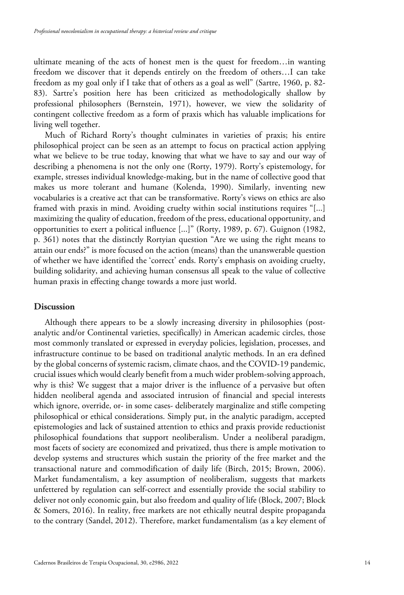ultimate meaning of the acts of honest men is the quest for freedom…in wanting freedom we discover that it depends entirely on the freedom of others…I can take freedom as my goal only if I take that of others as a goal as well" (Sartre, 1960, p. 82- 83). Sartre's position here has been criticized as methodologically shallow by professional philosophers (Bernstein, 1971), however, we view the solidarity of contingent collective freedom as a form of praxis which has valuable implications for living well together.

Much of Richard Rorty's thought culminates in varieties of praxis; his entire philosophical project can be seen as an attempt to focus on practical action applying what we believe to be true today, knowing that what we have to say and our way of describing a phenomena is not the only one (Rorty, 1979). Rorty's epistemology, for example, stresses individual knowledge-making, but in the name of collective good that makes us more tolerant and humane (Kolenda, 1990). Similarly, inventing new vocabularies is a creative act that can be transformative. Rorty's views on ethics are also framed with praxis in mind. Avoiding cruelty within social institutions requires "[...] maximizing the quality of education, freedom of the press, educational opportunity, and opportunities to exert a political influence [...]" (Rorty, 1989, p. 67). Guignon (1982, p. 361) notes that the distinctly Rortyian question "Are we using the right means to attain our ends?" is more focused on the action (means) than the unanswerable question of whether we have identified the 'correct' ends. Rorty's emphasis on avoiding cruelty, building solidarity, and achieving human consensus all speak to the value of collective human praxis in effecting change towards a more just world.

#### **Discussion**

Although there appears to be a slowly increasing diversity in philosophies (postanalytic and/or Continental varieties, specifically) in American academic circles, those most commonly translated or expressed in everyday policies, legislation, processes, and infrastructure continue to be based on traditional analytic methods. In an era defined by the global concerns of systemic racism, climate chaos, and the COVID-19 pandemic, crucial issues which would clearly benefit from a much wider problem-solving approach, why is this? We suggest that a major driver is the influence of a pervasive but often hidden neoliberal agenda and associated intrusion of financial and special interests which ignore, override, or- in some cases- deliberately marginalize and stifle competing philosophical or ethical considerations. Simply put, in the analytic paradigm, accepted epistemologies and lack of sustained attention to ethics and praxis provide reductionist philosophical foundations that support neoliberalism. Under a neoliberal paradigm, most facets of society are economized and privatized, thus there is ample motivation to develop systems and structures which sustain the priority of the free market and the transactional nature and commodification of daily life (Birch, 2015; Brown, 2006). Market fundamentalism, a key assumption of neoliberalism, suggests that markets unfettered by regulation can self-correct and essentially provide the social stability to deliver not only economic gain, but also freedom and quality of life (Block, 2007; Block & Somers, 2016). In reality, free markets are not ethically neutral despite propaganda to the contrary (Sandel, 2012). Therefore, market fundamentalism (as a key element of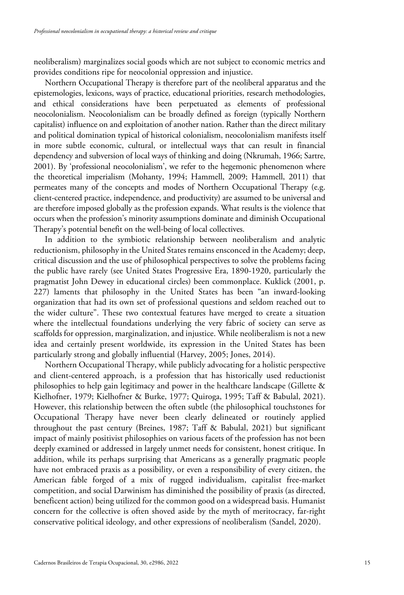neoliberalism) marginalizes social goods which are not subject to economic metrics and provides conditions ripe for neocolonial oppression and injustice.

Northern Occupational Therapy is therefore part of the neoliberal apparatus and the epistemologies, lexicons, ways of practice, educational priorities, research methodologies, and ethical considerations have been perpetuated as elements of professional neocolonialism. Neocolonialism can be broadly defined as foreign (typically Northern capitalist) influence on and exploitation of another nation. Rather than the direct military and political domination typical of historical colonialism, neocolonialism manifests itself in more subtle economic, cultural, or intellectual ways that can result in financial dependency and subversion of local ways of thinking and doing (Nkrumah, 1966; Sartre, 2001). By 'professional neocolonialism', we refer to the hegemonic phenomenon where the theoretical imperialism (Mohanty, 1994; Hammell, 2009; Hammell, 2011) that permeates many of the concepts and modes of Northern Occupational Therapy (e.g. client-centered practice, independence, and productivity) are assumed to be universal and are therefore imposed globally as the profession expands. What results is the violence that occurs when the profession's minority assumptions dominate and diminish Occupational Therapy's potential benefit on the well-being of local collectives.

In addition to the symbiotic relationship between neoliberalism and analytic reductionism, philosophy in the United States remains ensconced in the Academy; deep, critical discussion and the use of philosophical perspectives to solve the problems facing the public have rarely (see United States Progressive Era, 1890-1920, particularly the pragmatist John Dewey in educational circles) been commonplace. Kuklick (2001, p. 227) laments that philosophy in the United States has been "an inward-looking organization that had its own set of professional questions and seldom reached out to the wider culture". These two contextual features have merged to create a situation where the intellectual foundations underlying the very fabric of society can serve as scaffolds for oppression, marginalization, and injustice. While neoliberalism is not a new idea and certainly present worldwide, its expression in the United States has been particularly strong and globally influential (Harvey, 2005; Jones, 2014).

Northern Occupational Therapy, while publicly advocating for a holistic perspective and client-centered approach, is a profession that has historically used reductionist philosophies to help gain legitimacy and power in the healthcare landscape (Gillette & Kielhofner, 1979; Kielhofner & Burke, 1977; Quiroga, 1995; Taff & Babulal, 2021). However, this relationship between the often subtle (the philosophical touchstones for Occupational Therapy have never been clearly delineated or routinely applied throughout the past century (Breines, 1987; Taff & Babulal, 2021) but significant impact of mainly positivist philosophies on various facets of the profession has not been deeply examined or addressed in largely unmet needs for consistent, honest critique. In addition, while its perhaps surprising that Americans as a generally pragmatic people have not embraced praxis as a possibility, or even a responsibility of every citizen, the American fable forged of a mix of rugged individualism, capitalist free-market competition, and social Darwinism has diminished the possibility of praxis (as directed, beneficent action) being utilized for the common good on a widespread basis. Humanist concern for the collective is often shoved aside by the myth of meritocracy, far-right conservative political ideology, and other expressions of neoliberalism (Sandel, 2020).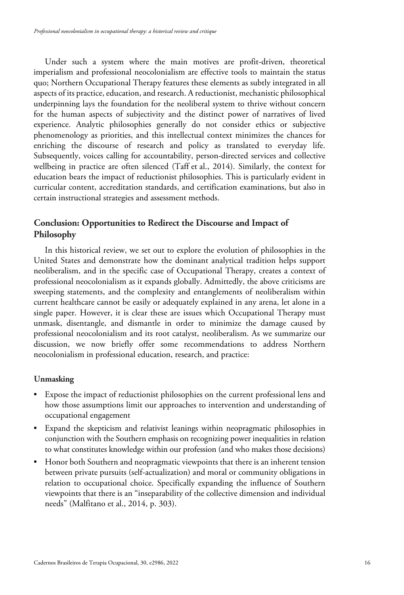Under such a system where the main motives are profit-driven, theoretical imperialism and professional neocolonialism are effective tools to maintain the status quo; Northern Occupational Therapy features these elements as subtly integrated in all aspects of its practice, education, and research. A reductionist, mechanistic philosophical underpinning lays the foundation for the neoliberal system to thrive without concern for the human aspects of subjectivity and the distinct power of narratives of lived experience. Analytic philosophies generally do not consider ethics or subjective phenomenology as priorities, and this intellectual context minimizes the chances for enriching the discourse of research and policy as translated to everyday life. Subsequently, voices calling for accountability, person-directed services and collective wellbeing in practice are often silenced (Taff et al., 2014). Similarly, the context for education bears the impact of reductionist philosophies. This is particularly evident in curricular content, accreditation standards, and certification examinations, but also in certain instructional strategies and assessment methods.

# **Conclusion: Opportunities to Redirect the Discourse and Impact of Philosophy**

In this historical review, we set out to explore the evolution of philosophies in the United States and demonstrate how the dominant analytical tradition helps support neoliberalism, and in the specific case of Occupational Therapy, creates a context of professional neocolonialism as it expands globally. Admittedly, the above criticisms are sweeping statements, and the complexity and entanglements of neoliberalism within current healthcare cannot be easily or adequately explained in any arena, let alone in a single paper. However, it is clear these are issues which Occupational Therapy must unmask, disentangle, and dismantle in order to minimize the damage caused by professional neocolonialism and its root catalyst, neoliberalism. As we summarize our discussion, we now briefly offer some recommendations to address Northern neocolonialism in professional education, research, and practice:

# **Unmasking**

- Expose the impact of reductionist philosophies on the current professional lens and how those assumptions limit our approaches to intervention and understanding of occupational engagement
- Expand the skepticism and relativist leanings within neopragmatic philosophies in conjunction with the Southern emphasis on recognizing power inequalities in relation to what constitutes knowledge within our profession (and who makes those decisions)
- Honor both Southern and neopragmatic viewpoints that there is an inherent tension between private pursuits (self-actualization) and moral or community obligations in relation to occupational choice. Specifically expanding the influence of Southern viewpoints that there is an "inseparability of the collective dimension and individual needs" (Malfitano et al., 2014, p. 303).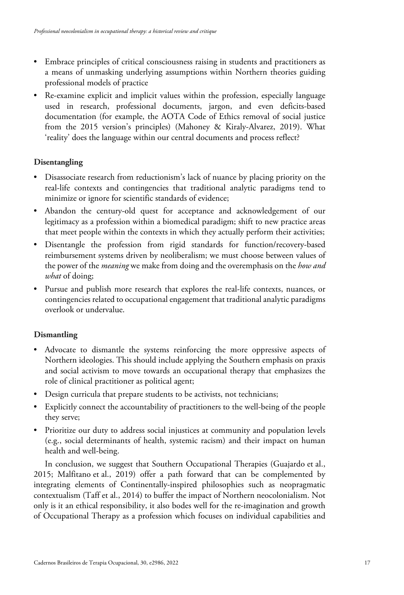- Embrace principles of critical consciousness raising in students and practitioners as a means of unmasking underlying assumptions within Northern theories guiding professional models of practice
- Re-examine explicit and implicit values within the profession, especially language used in research, professional documents, jargon, and even deficits-based documentation (for example, the AOTA Code of Ethics removal of social justice from the 2015 version's principles) (Mahoney & Kiraly-Alvarez, 2019). What 'reality' does the language within our central documents and process reflect?

# **Disentangling**

- Disassociate research from reductionism's lack of nuance by placing priority on the real-life contexts and contingencies that traditional analytic paradigms tend to minimize or ignore for scientific standards of evidence;
- Abandon the century-old quest for acceptance and acknowledgement of our legitimacy as a profession within a biomedical paradigm; shift to new practice areas that meet people within the contexts in which they actually perform their activities;
- Disentangle the profession from rigid standards for function/recovery-based reimbursement systems driven by neoliberalism; we must choose between values of the power of the *meaning* we make from doing and the overemphasis on the *how and what* of doing;
- Pursue and publish more research that explores the real-life contexts, nuances, or contingencies related to occupational engagement that traditional analytic paradigms overlook or undervalue.

# **Dismantling**

- Advocate to dismantle the systems reinforcing the more oppressive aspects of Northern ideologies. This should include applying the Southern emphasis on praxis and social activism to move towards an occupational therapy that emphasizes the role of clinical practitioner as political agent;
- Design curricula that prepare students to be activists, not technicians;
- Explicitly connect the accountability of practitioners to the well-being of the people they serve;
- Prioritize our duty to address social injustices at community and population levels (e.g., social determinants of health, systemic racism) and their impact on human health and well-being.

In conclusion, we suggest that Southern Occupational Therapies (Guajardo et al., 2015; Malfitano et al., 2019) offer a path forward that can be complemented by integrating elements of Continentally-inspired philosophies such as neopragmatic contextualism (Taff et al., 2014) to buffer the impact of Northern neocolonialism. Not only is it an ethical responsibility, it also bodes well for the re-imagination and growth of Occupational Therapy as a profession which focuses on individual capabilities and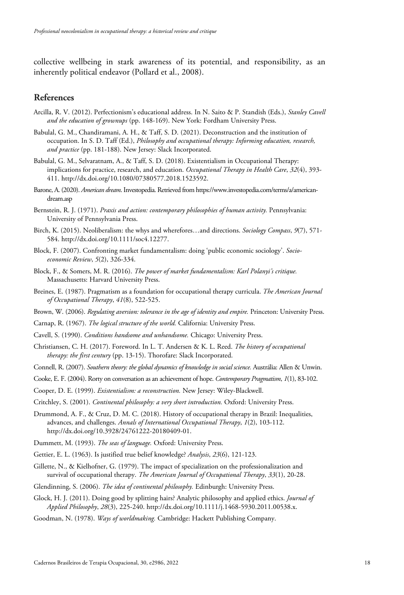collective wellbeing in stark awareness of its potential, and responsibility, as an inherently political endeavor (Pollard et al., 2008).

# **References**

- Arcilla, R. V. (2012). Perfectionism's educational address. In N. Saito & P. Standish (Eds.), *Stanley Cavell and the education of grownups* (pp. 148-169). New York: Fordham University Press.
- Babulal, G. M., Chandiramani, A. H., & Taff, S. D. (2021). Deconstruction and the institution of occupation. In S. D. Taff (Ed.), *Philosophy and occupational therapy: Informing education, research, and practice* (pp. 181-188). New Jersey: Slack Incorporated.
- Babulal, G. M., Selvaratnam, A., & Taff, S. D. (2018). Existentialism in Occupational Therapy: implications for practice, research, and education. *Occupational Therapy in Health Care*, *32*(4), 393- 411. http://dx.doi.org/10.1080/07380577.2018.1523592.
- Barone, A. (2020). *American dream*. Investopedia. Retrieved from https://www.investopedia.com/terms/a/americandream.asp
- Bernstein, R. J. (1971). *Praxis and action: contemporary philosophies of human activity.* Pennsylvania: University of Pennsylvania Press.
- Birch, K. (2015). Neoliberalism: the whys and wherefores…and directions. *Sociology Compass*, *9*(7), 571- 584. http://dx.doi.org/10.1111/soc4.12277.
- Block, F. (2007). Confronting market fundamentalism: doing 'public economic sociology'. *Socioeconomic Review*, *5*(2), 326-334.
- Block, F., & Somers, M. R. (2016). *The power of market fundamentalism: Karl Polanyi's critique.* Massachusetts: Harvard University Press.
- Breines, E. (1987). Pragmatism as a foundation for occupational therapy curricula. *The American Journal of Occupational Therapy*, *41*(8), 522-525.
- Brown, W. (2006). *Regulating aversion: tolerance in the age of identity and empire.* Princeton: University Press.
- Carnap, R. (1967). *The logical structure of the world.* California: University Press.
- Cavell, S. (1990). *Conditions handsome and unhandsome.* Chicago: University Press.
- Christiansen, C. H. (2017). Foreword. In L. T. Andersen & K. L. Reed. *The history of occupational therapy: the first century* (pp. 13-15). Thorofare: Slack Incorporated.
- Connell, R. (2007). *Southern theory: the global dynamics of knowledge in social science.* Austrália: Allen & Unwin.
- Cooke, E. F. (2004). Rorty on conversation as an achievement of hope. *Contemporary Pragmatism*, *1*(1), 83-102.
- Cooper, D. E. (1999). *Existentialism: a reconstruction.* New Jersey: Wiley-Blackwell.
- Critchley, S. (2001). *Continental philosophy: a very short introduction.* Oxford: University Press.
- Drummond, A. F., & Cruz, D. M. C. (2018). History of occupational therapy in Brazil: Inequalities, advances, and challenges. *Annals of International Occupational Therapy*, *1*(2), 103-112. http://dx.doi.org/10.3928/24761222-20180409-01.
- Dummett, M. (1993). *The seas of language.* Oxford: University Press.
- Gettier, E. L. (1963). Is justified true belief knowledge? *Analysis*, *23*(6), 121-123.
- Gillette, N., & Kielhofner, G. (1979). The impact of specialization on the professionalization and survival of occupational therapy. *The American Journal of Occupational Therapy*, *33*(1), 20-28.
- Glendinning, S. (2006). *The idea of continental philosophy.* Edinburgh: University Press.
- Glock, H. J. (2011). Doing good by splitting hairs? Analytic philosophy and applied ethics. *Journal of Applied Philosophy*, *28*(3), 225-240. http://dx.doi.org/10.1111/j.1468-5930.2011.00538.x.
- Goodman, N. (1978). *Ways of worldmaking.* Cambridge: Hackett Publishing Company.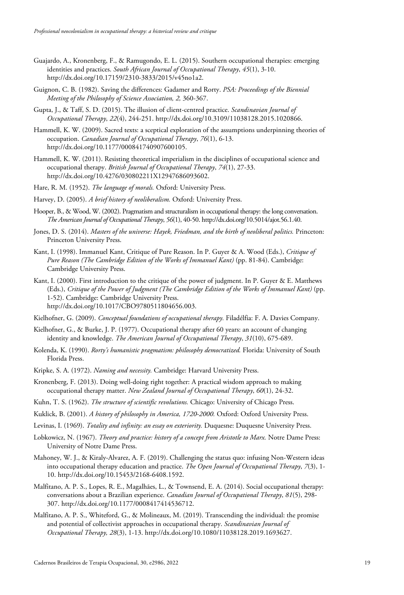- Guajardo, A., Kronenberg, F., & Ramugondo, E. L. (2015). Southern occupational therapies: emerging identities and practices. *South African Journal of Occupational Therapy*, *45*(1), 3-10. http://dx.doi.org/10.17159/2310-3833/2015/v45no1a2.
- Guignon, C. B. (1982). Saving the differences: Gadamer and Rorty. *PSA: Proceedings of the Biennial Meeting of the Philosophy of Science Association, 2,* 360-367.
- Gupta, J., & Taff, S. D. (2015). The illusion of client-centred practice. *Scandinavian Journal of Occupational Therapy*, *22*(4), 244-251. http://dx.doi.org/10.3109/11038128.2015.1020866.
- Hammell, K. W. (2009). Sacred texts: a sceptical exploration of the assumptions underpinning theories of occupation. *Canadian Journal of Occupational Therapy*, *76*(1), 6-13. http://dx.doi.org/10.1177/000841740907600105.
- Hammell, K. W. (2011). Resisting theoretical imperialism in the disciplines of occupational science and occupational therapy. *British Journal of Occupational Therapy*, *74*(1), 27-33. http://dx.doi.org/10.4276/030802211X12947686093602.
- Hare, R. M. (1952). *The language of morals.* Oxford: University Press.
- Harvey, D. (2005). *A brief history of neoliberalism.* Oxford: University Press.
- Hooper, B., & Wood, W. (2002). Pragmatism and structuralism in occupational therapy: the long conversation. *The American Journal of Occupational Therapy*, *56*(1), 40-50. http://dx.doi.org/10.5014/ajot.56.1.40.
- Jones, D. S. (2014). *Masters of the universe: Hayek, Friedman, and the birth of neoliberal politics.* Princeton: Princeton University Press.
- Kant, I. (1998). Immanuel Kant, Critique of Pure Reason. In P. Guyer & A. Wood (Eds.), *Critique of Pure Reason (The Cambridge Edition of the Works of Immanuel Kant)* (pp. 81-84). Cambridge: Cambridge University Press.
- Kant, I. (2000). First introduction to the critique of the power of judgment. In P. Guyer & E. Matthews (Eds.), *Critique of the Power of Judgment (The Cambridge Edition of the Works of Immanuel Kant)* (pp. 1-52). Cambridge: Cambridge University Press. http://dx.doi.org/10.1017/CBO9780511804656.003.
- Kielhofner, G. (2009). *Conceptual foundations of occupational therapy.* Filadélfia: F. A. Davies Company.
- Kielhofner, G., & Burke, J. P. (1977). Occupational therapy after 60 years: an account of changing identity and knowledge. *The American Journal of Occupational Therapy*, *31*(10), 675-689.
- Kolenda, K. (1990). *Rorty's humanistic pragmatism: philosophy democratized.* Florida: University of South Florida Press.
- Kripke, S. A. (1972). *Naming and necessity.* Cambridge: Harvard University Press.
- Kronenberg, F. (2013). Doing well-doing right together: A practical wisdom approach to making occupational therapy matter. *New Zealand Journal of Occupational Therapy*, *60*(1), 24-32.
- Kuhn, T. S. (1962). *The structure of scientific revolutions.* Chicago: University of Chicago Press.
- Kuklick, B. (2001). *A history of philosophy in America, 1720-2000.* Oxford: Oxford University Press.
- Levinas, I. (1969). *Totality and infinity: an essay on exteriority.* Duquesne: Duquesne University Press.
- Lobkowicz, N. (1967). *Theory and practice: history of a concept from Aristotle to Marx.* Notre Dame Press: University of Notre Dame Press.
- Mahoney, W. J., & Kiraly-Alvarez, A. F. (2019). Challenging the status quo: infusing Non-Western ideas into occupational therapy education and practice. *The Open Journal of Occupational Therapy*, *7*(3), 1- 10. http://dx.doi.org/10.15453/2168-6408.1592.
- Malfitano, A. P. S., Lopes, R. E., Magalhães, L., & Townsend, E. A. (2014). Social occupational therapy: conversations about a Brazilian experience. *Canadian Journal of Occupational Therapy*, *81*(5), 298- 307. http://dx.doi.org/10.1177/0008417414536712.
- Malfitano, A. P. S., Whiteford, G., & Molineaux, M. (2019). Transcending the individual: the promise and potential of collectivist approaches in occupational therapy. *Scandinavian Journal of Occupational Therapy, 28*(3), 1-13. http://dx.doi.org/10.1080/11038128.2019.1693627.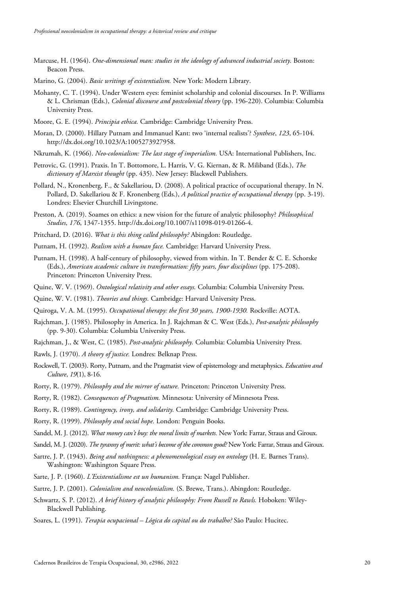- Marcuse, H. (1964). *One-dimensional man: studies in the ideology of advanced industrial society.* Boston: Beacon Press.
- Marino, G. (2004). *Basic writings of existentialism.* New York: Modern Library.
- Mohanty, C. T. (1994). Under Western eyes: feminist scholarship and colonial discourses. In P. Williams & L. Chrisman (Eds.), *Colonial discourse and postcolonial theory* (pp. 196-220). Columbia: Columbia University Press.
- Moore, G. E. (1994). *Principia ethica.* Cambridge: Cambridge University Press.
- Moran, D. (2000). Hillary Putnam and Immanuel Kant: two 'internal realists'? *Synthese*, *123*, 65-104. http://dx.doi.org/10.1023/A:1005273927958.
- Nkrumah, K. (1966). *Neo-colonialism: The last stage of imperialism.* USA: International Publishers, Inc.
- Petrovic, G. (1991). Praxis. In T. Bottomore, L. Harris, V. G. Kiernan, & R. Miliband (Eds.), *The dictionary of Marxist thought* (pp. 435). New Jersey: Blackwell Publishers.
- Pollard, N., Kronenberg, F., & Sakellariou, D. (2008). A political practice of occupational therapy. In N. Pollard, D. Sakellariou & F. Kronenberg (Eds.), *A political practice of occupational therapy* (pp. 3-19). Londres: Elsevier Churchill Livingstone.
- Preston, A. (2019). Soames on ethics: a new vision for the future of analytic philosophy? *Philosophical Studies*, *176*, 1347-1355. http://dx.doi.org/10.1007/s11098-019-01266-4.
- Pritchard, D. (2016). *What is this thing called philosophy?* Abingdon: Routledge.
- Putnam, H. (1992). *Realism with a human face.* Cambridge: Harvard University Press.
- Putnam, H. (1998). A half-century of philosophy, viewed from within. In T. Bender & C. E. Schorske (Eds.), *American academic culture in transformation: fifty years, four disciplines* (pp. 175-208). Princeton: Princeton University Press.
- Quine, W. V. (1969). *Ontological relativity and other essays.* Columbia: Columbia University Press.
- Quine, W. V. (1981). *Theories and things.* Cambridge: Harvard University Press.
- Quiroga, V. A. M. (1995). *Occupational therapy: the first 30 years, 1900-1930.* Rockville: AOTA.
- Rajchman, J. (1985). Philosophy in America. In J. Rajchman & C. West (Eds.), *Post-analytic philosophy* (pp. 9-30). Columbia: Columbia University Press.
- Rajchman, J., & West, C. (1985). *Post-analytic philosophy.* Columbia: Columbia University Press.
- Rawls, J. (1970). *A theory of justice.* Londres: Belknap Press.
- Rockwell, T. (2003). Rorty, Putnam, and the Pragmatist view of epistemology and metaphysics. *Education and Culture*, *19*(1), 8-16.
- Rorty, R. (1979). *Philosophy and the mirror of nature.* Princeton: Princeton University Press.
- Rorty, R. (1982). *Consequences of Pragmatism.* Minnesota: University of Minnesota Press.
- Rorty, R. (1989). *Contingency, irony, and solidarity.* Cambridge: Cambridge University Press.
- Rorty, R. (1999). *Philosophy and social hope.* London: Penguin Books.
- Sandel, M. J. (2012). *What money can't buy: the moral limits of markets.* New York: Farrar, Straus and Giroux.
- Sandel, M. J. (2020). *The tyranny of merit: what's become of the common good?* New York: Farrar, Straus and Giroux.
- Sartre, J. P. (1943). *Being and nothingness: a phenomenological essay on ontology* (H. E. Barnes Trans). Washington: Washington Square Press.
- Sarte, J. P. (1960). *L'Existentialisme est un humanism.* França: Nagel Publisher.
- Sartre, J. P. (2001). *Colonialism and neocolonialism.* (S. Brewe, Trans.). Abingdon: Routledge.
- Schwartz, S. P. (2012). *A brief history of analytic philosophy: From Russell to Rawls.* Hoboken: Wiley-Blackwell Publishing.
- Soares, L. (1991). *Terapia ocupacional – Lógica do capital ou do trabalho?* São Paulo: Hucitec.